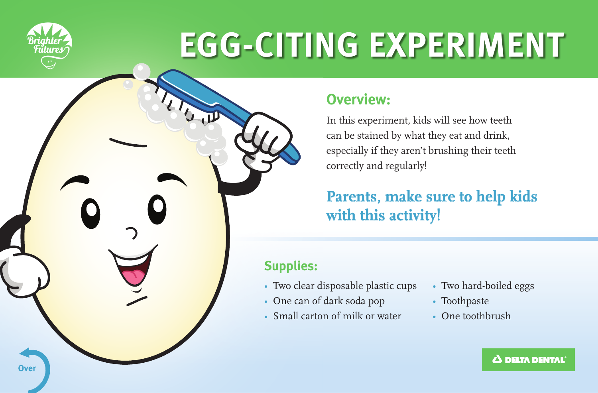

**Over** 

# **EGG-CITING EXPERIMENT**

## **Overview:**

In this experiment, kids will see how teeth can be stained by what they eat and drink, especially if they aren't brushing their teeth correctly and regularly!

## **Parents, make sure to help kids with this activity!**

## **Supplies:**

- Two clear disposable plastic cups
- One can of dark soda pop
- Small carton of milk or water
- Two hard-boiled eggs
- Toothpaste
- One toothbrush

#### **A DELTA DENTAL**